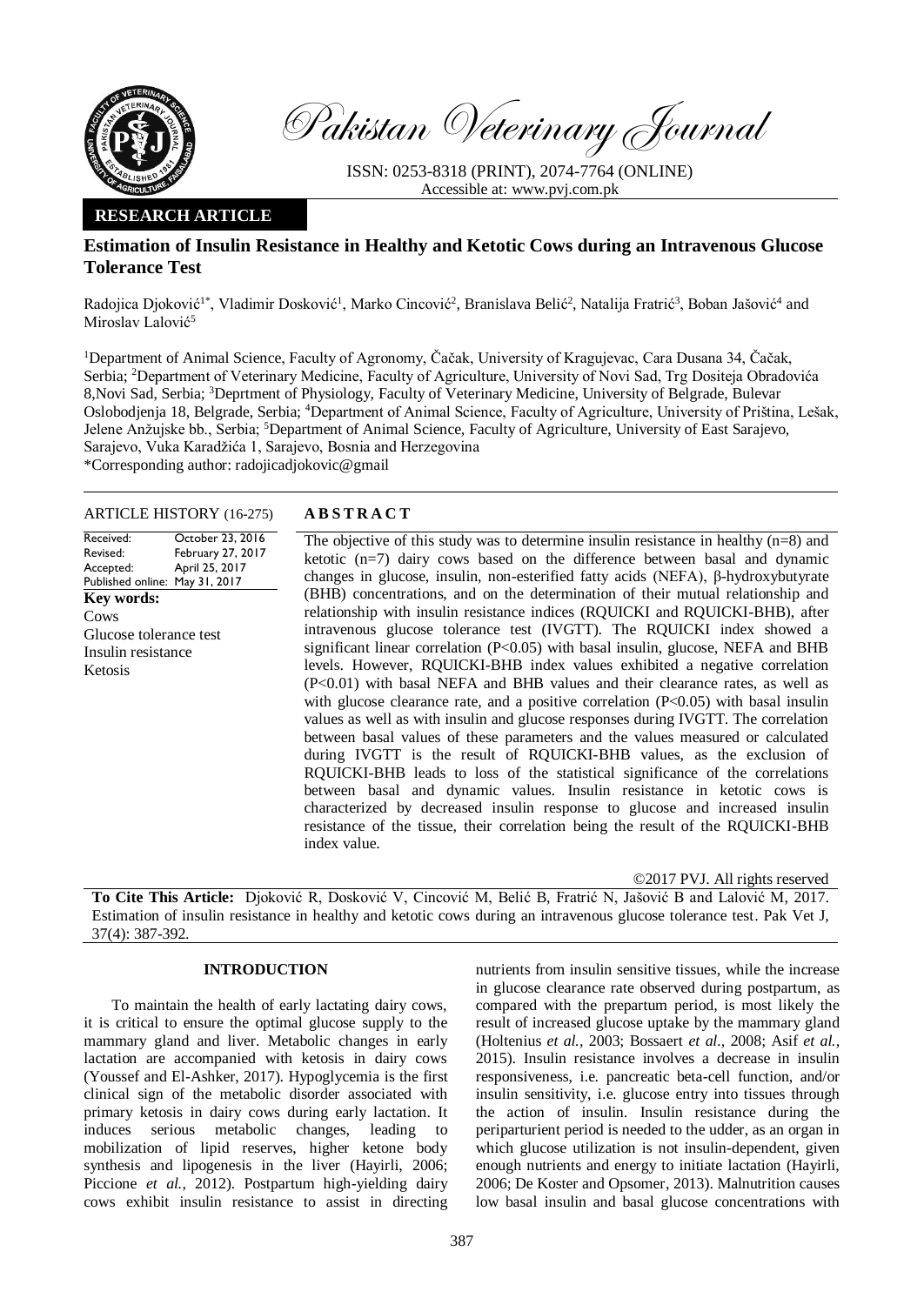

Pakistan Veterinary Journal

ISSN: 0253-8318 (PRINT), 2074-7764 (ONLINE) Accessible at: [www.pvj.com.pk](http://www.pvj.com.pk/)

## **RESEARCH ARTICLE**

# **Estimation of Insulin Resistance in Healthy and Ketotic Cows during an Intravenous Glucose Tolerance Test**

Radojica Djoković<sup>1\*</sup>, Vladimir Dosković<sup>1</sup>, Marko Cincović<sup>2</sup>, Branislava Belić<sup>2</sup>, Natalija Fratrić<sup>3</sup>, Boban Jašović<sup>4</sup> and Miroslav Lalović<sup>5</sup>

<sup>1</sup>Department of Animal Science, Faculty of Agronomy, Čačak, University of Kragujevac, Cara Dusana 34, Čačak, Serbia; <sup>2</sup>Department of Veterinary Medicine, Faculty of Agriculture, University of Novi Sad, Trg Dositeja Obradovića 8,Novi Sad, Serbia; <sup>3</sup>Deprtment of Physiology, Faculty of Veterinary Medicine, University of Belgrade, Bulevar Oslobodjenja 18, Belgrade, Serbia; <sup>4</sup>Department of Animal Science, Faculty of Agriculture, University of Priština, Lešak, Jelene Anžujske bb., Serbia; <sup>5</sup>Department of Animal Science, Faculty of Agriculture, University of East Sarajevo, Sarajevo, Vuka Karadžića 1, Sarajevo, Bosnia and Herzegovina \*Corresponding author: radojicadjokovic@gmail

ARTICLE HISTORY (16-275) **A B S T R A C T**

Received: Revised: Accepted: Published online: May 31, 2017 October 23, 2016 February 27, 2017 April 25, 2017 **Key words:**  Cows Glucose tolerance test Insulin resistance Ketosis

The objective of this study was to determine insulin resistance in healthy (n=8) and ketotic (n=7) dairy cows based on the difference between basal and dynamic changes in glucose, insulin, non-esterified fatty acids (NEFA), β-hydroxybutyrate (BHB) concentrations, and on the determination of their mutual relationship and relationship with insulin resistance indices (RQUICKI and RQUICKI-BHB), after intravenous glucose tolerance test (IVGTT). The RQUICKI index showed a significant linear correlation  $(P<0.05)$  with basal insulin, glucose, NEFA and BHB levels. However, RQUICKI-BHB index values exhibited a negative correlation (P<0.01) with basal NEFA and BHB values and their clearance rates, as well as with glucose clearance rate, and a positive correlation  $(P<0.05)$  with basal insulin values as well as with insulin and glucose responses during IVGTT. The correlation between basal values of these parameters and the values measured or calculated during IVGTT is the result of RQUICKI-BHB values, as the exclusion of RQUICKI-BHB leads to loss of the statistical significance of the correlations between basal and dynamic values. Insulin resistance in ketotic cows is characterized by decreased insulin response to glucose and increased insulin resistance of the tissue, their correlation being the result of the RQUICKI-BHB index value.

©2017 PVJ. All rights reserved

**To Cite This Article:** Djoković R, Dosković V, Cincović M, Belić B, Fratrić N, Jašović B and Lalović M, 2017. Estimation of insulin resistance in healthy and ketotic cows during an intravenous glucose tolerance test. Pak Vet J, 37(4): 387-392.

## **INTRODUCTION**

To maintain the health of early lactating dairy cows, it is critical to ensure the optimal glucose supply to the mammary gland and liver. Metabolic changes in early lactation are accompanied with ketosis in dairy cows (Youssef and El-Ashker, 2017). Hypoglycemia is the first clinical sign of the metabolic disorder associated with primary ketosis in dairy cows during early lactation. It induces serious metabolic changes, leading to mobilization of lipid reserves, higher ketone body synthesis and lipogenesis in the liver (Hayirli, 2006; Piccione *et al.,* 2012). Postpartum high-yielding dairy cows exhibit insulin resistance to assist in directing

nutrients from insulin sensitive tissues, while the increase in glucose clearance rate observed during postpartum, as compared with the prepartum period, is most likely the result of increased glucose uptake by the mammary gland (Holtenius *et al.,* 2003; Bossaert *et al.,* 2008; Asif *et al.,*  2015). Insulin resistance involves a decrease in insulin responsiveness, i.e. pancreatic beta-cell function, and/or insulin sensitivity, i.e. glucose entry into tissues through the action of insulin. Insulin resistance during the periparturient period is needed to the udder, as an organ in which glucose utilization is not insulin-dependent, given enough nutrients and energy to initiate lactation (Hayirli, 2006; De Koster and Opsomer, 2013). Malnutrition causes low basal insulin and basal glucose concentrations with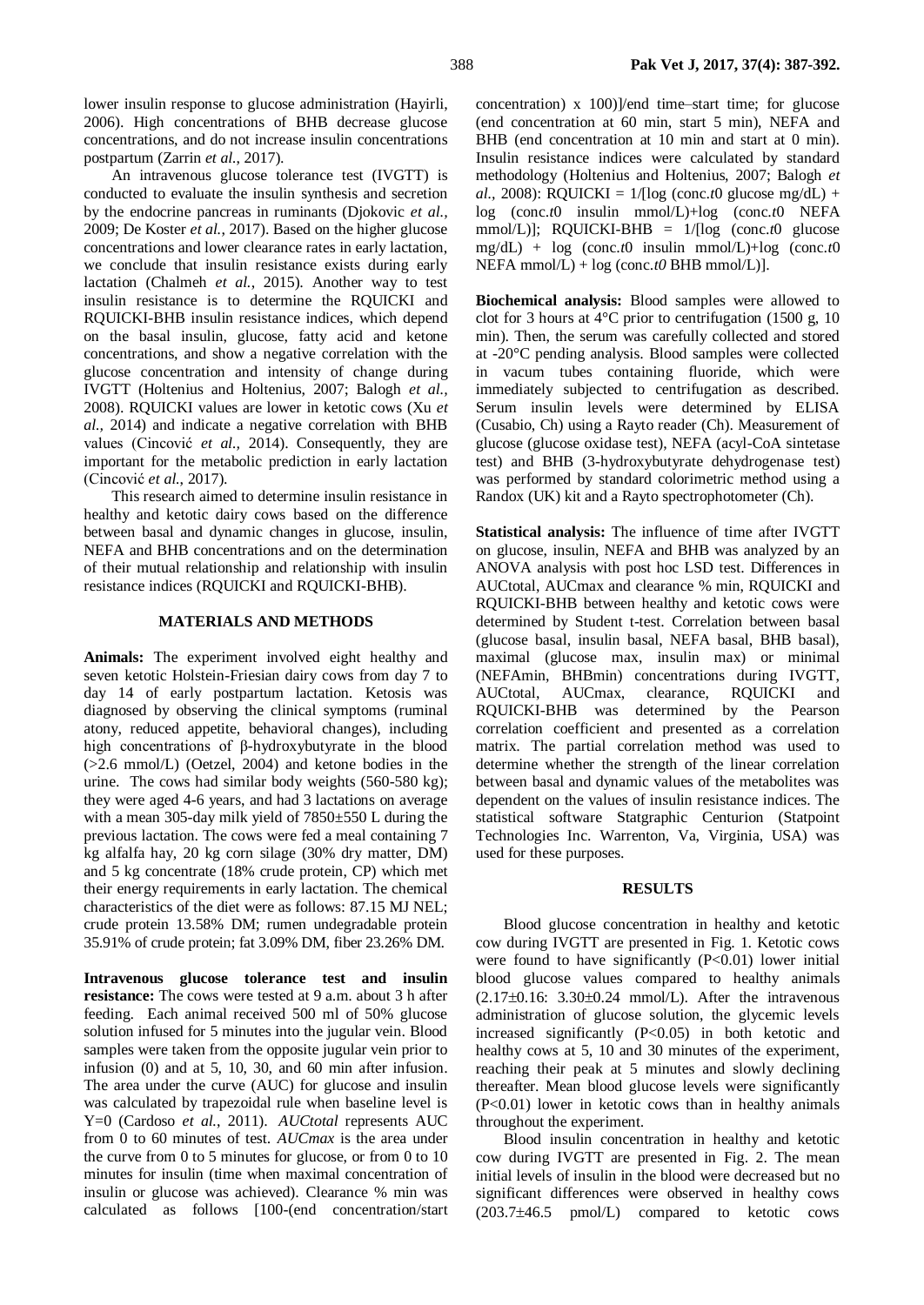An intravenous glucose tolerance test (IVGTT) is conducted to evaluate the insulin synthesis and secretion by the endocrine pancreas in ruminants (Djokovic *et al.,* 2009; De Koster *et al.*, 2017). Based on the higher glucose concentrations and lower clearance rates in early lactation, we conclude that insulin resistance exists during early lactation (Chalmeh *et al.*, 2015). Another way to test insulin resistance is to determine the RQUICKI and RQUICKI-BHB insulin resistance indices, which depend on the basal insulin, glucose, fatty acid and ketone concentrations, and show a negative correlation with the glucose concentration and intensity of change during IVGTT (Holtenius and Holtenius, 2007; Balogh *et al.,* 2008). RQUICKI values are lower in ketotic cows (Xu *et al.,* 2014) and indicate a negative correlation with BHB values (Cincović *et al.,* 2014). Consequently, they are important for the metabolic prediction in early lactation (Cincović *et al.*, 2017).

This research aimed to determine insulin resistance in healthy and ketotic dairy cows based on the difference between basal and dynamic changes in glucose, insulin, NEFA and BHB concentrations and on the determination of their mutual relationship and relationship with insulin resistance indices (RQUICKI and RQUICKI-BHB).

## **MATERIALS AND METHODS**

**Animals:** The experiment involved eight healthy and seven ketotic Holstein-Friesian dairy cows from day 7 to day 14 of early postpartum lactation. Ketosis was diagnosed by observing the clinical symptoms (ruminal atony, reduced appetite, behavioral changes), including high concentrations of β-hydroxybutyrate in the blood (>2.6 mmol/L) (Oetzel, 2004) and ketone bodies in the urine. The cows had similar body weights (560-580 kg); they were aged 4-6 years, and had 3 lactations on average with a mean 305-day milk yield of 7850±550 L during the previous lactation. The cows were fed a meal containing 7 kg alfalfa hay, 20 kg corn silage (30% dry matter, DM) and 5 kg concentrate (18% crude protein, CP) which met their energy requirements in early lactation. The chemical characteristics of the diet were as follows: 87.15 MJ NEL; crude protein 13.58% DM; rumen undegradable protein 35.91% of crude protein; fat 3.09% DM, fiber 23.26% DM.

**Intravenous glucose tolerance test and insulin resistance:** The cows were tested at 9 a.m. about 3 h after feeding. Each animal received 500 ml of 50% glucose solution infused for 5 minutes into the jugular vein. Blood samples were taken from the opposite jugular vein prior to infusion (0) and at 5, 10, 30, and 60 min after infusion. The area under the curve (AUC) for glucose and insulin was calculated by trapezoidal rule when baseline level is Y=0 (Cardoso *et al.*, 2011). *AUCtotal* represents AUC from 0 to 60 minutes of test. *AUCmax* is the area under the curve from 0 to 5 minutes for glucose, or from 0 to 10 minutes for insulin (time when maximal concentration of insulin or glucose was achieved). Clearance % min was calculated as follows [100-(end concentration/start concentration) x 100)]/end time–start time; for glucose (end concentration at 60 min, start 5 min), NEFA and BHB (end concentration at 10 min and start at 0 min). Insulin resistance indices were calculated by standard methodology (Holtenius and Holtenius, 2007; Balogh *et al.,* 2008): RQUICKI =  $1/[\log (\text{conc.t0 glucose mg/dL}) +$ log (conc.*t*0 insulin mmol/L)+log (conc.*t*0 NEFA mmol/L)]; RQUICKI-BHB = 1/[log (conc.*t*0 glucose mg/dL) + log (conc.*t*0 insulin mmol/L)+log (conc.*t*0  $NEFA$  mmol/L) + log (conc.*t0* BHB mmol/L)].

**Biochemical analysis:** Blood samples were allowed to clot for 3 hours at  $4^{\circ}$ C prior to centrifugation (1500 g, 10) min). Then, the serum was carefully collected and stored at -20°C pending analysis. Blood samples were collected in vacum tubes containing fluoride, which were immediately subjected to centrifugation as described. Serum insulin levels were determined by ELISA (Cusabio, Ch) using a Rayto reader (Ch). Measurement of glucose (glucose oxidase test), NEFA (acyl-CoA sintetase test) and BHB (3-hydroxybutyrate dehydrogenase test) was performed by standard colorimetric method using a Randox (UK) kit and a Rayto spectrophotometer (Ch).

**Statistical analysis:** The influence of time after IVGTT on glucose, insulin, NEFA and BHB was analyzed by an ANOVA analysis with post hoc LSD test. Differences in AUCtotal, AUCmax and clearance % min, RQUICKI and RQUICKI-BHB between healthy and ketotic cows were determined by Student t-test. Correlation between basal (glucose basal, insulin basal, NEFA basal, BHB basal), maximal (glucose max, insulin max) or minimal (NEFAmin, BHBmin) concentrations during IVGTT, AUCtotal, AUCmax, clearance, RQUICKI and RQUICKI-BHB was determined by the Pearson correlation coefficient and presented as a correlation matrix. The partial correlation method was used to determine whether the strength of the linear correlation between basal and dynamic values of the metabolites was dependent on the values of insulin resistance indices. The statistical software Statgraphic Centurion (Statpoint Technologies Inc. Warrenton, Va, Virginia, USA) was used for these purposes.

#### **RESULTS**

Blood glucose concentration in healthy and ketotic cow during IVGTT are presented in Fig. 1. Ketotic cows were found to have significantly  $(P<0.01)$  lower initial blood glucose values compared to healthy animals  $(2.17\pm0.16: 3.30\pm0.24$  mmol/L). After the intravenous administration of glucose solution, the glycemic levels increased significantly (P<0.05) in both ketotic and healthy cows at 5, 10 and 30 minutes of the experiment, reaching their peak at 5 minutes and slowly declining thereafter. Mean blood glucose levels were significantly (P<0.01) lower in ketotic cows than in healthy animals throughout the experiment.

Blood insulin concentration in healthy and ketotic cow during IVGTT are presented in Fig. 2. The mean initial levels of insulin in the blood were decreased but no significant differences were observed in healthy cows  $(203.7\pm46.5 \text{ pmol/L})$  compared to ketotic cows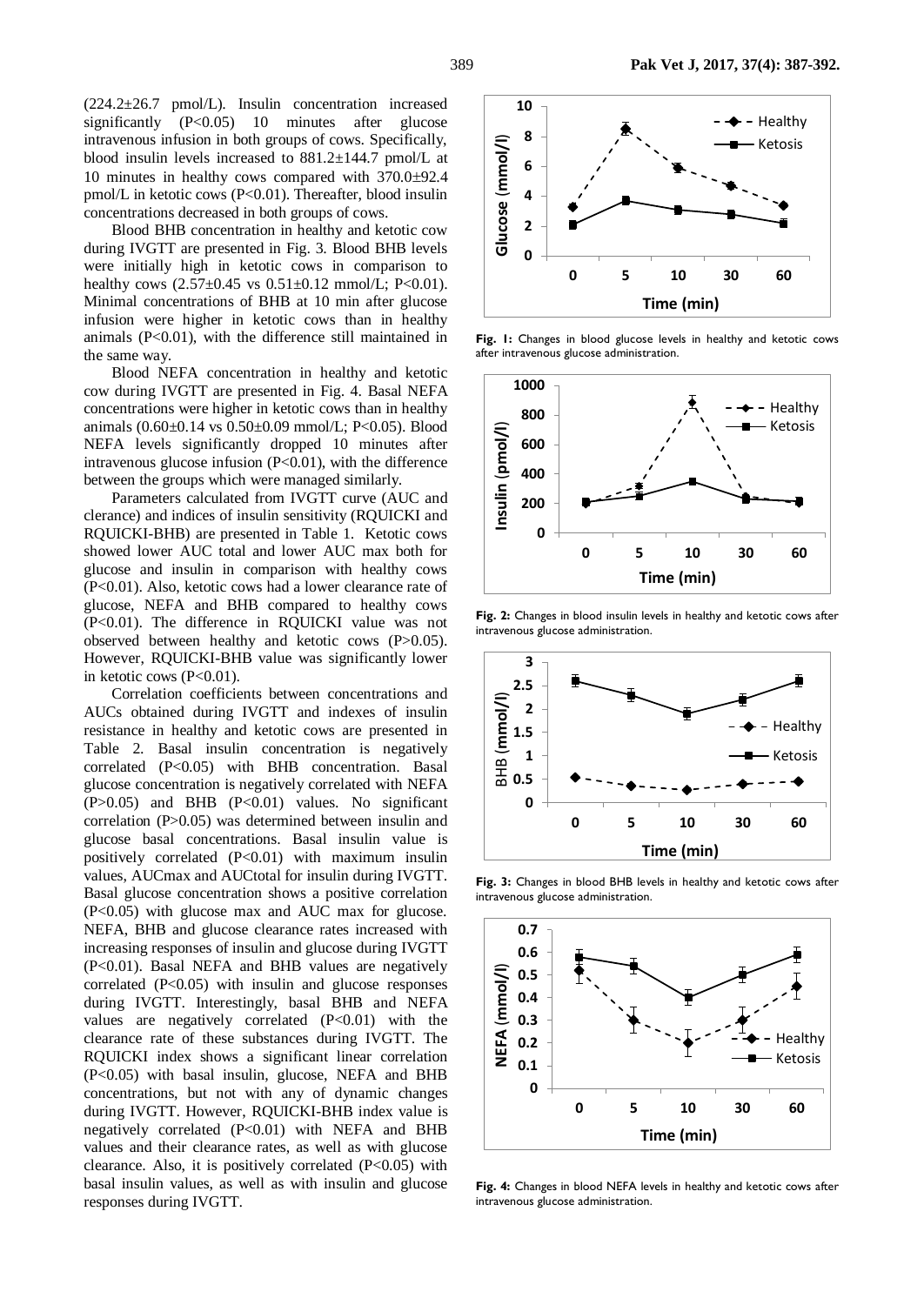(224.2±26.7 pmol/L). Insulin concentration increased significantly (P<0.05) 10 minutes after glucose intravenous infusion in both groups of cows. Specifically, blood insulin levels increased to 881.2±144.7 pmol/L at 10 minutes in healthy cows compared with  $370.0\pm92.4$ pmol/L in ketotic cows (P<0.01). Thereafter, blood insulin concentrations decreased in both groups of cows.

Blood BHB concentration in healthy and ketotic cow during IVGTT are presented in Fig. 3. Blood BHB levels were initially high in ketotic cows in comparison to healthy cows  $(2.57\pm0.45 \text{ vs } 0.51\pm0.12 \text{ mmol/L}; P<0.01)$ . Minimal concentrations of BHB at 10 min after glucose infusion were higher in ketotic cows than in healthy animals (P<0.01), with the difference still maintained in the same way.

Blood NEFA concentration in healthy and ketotic cow during IVGTT are presented in Fig. 4. Basal NEFA concentrations were higher in ketotic cows than in healthy animals (0.60±0.14 vs 0.50±0.09 mmol/L; P<0.05). Blood NEFA levels significantly dropped 10 minutes after intravenous glucose infusion  $(P<0.01)$ , with the difference between the groups which were managed similarly.

Parameters calculated from IVGTT curve (AUC and clerance) and indices of insulin sensitivity (RQUICKI and RQUICKI-BHB) are presented in Table 1. Ketotic cows showed lower AUC total and lower AUC max both for glucose and insulin in comparison with healthy cows (P<0.01). Also, ketotic cows had a lower clearance rate of glucose, NEFA and BHB compared to healthy cows (P<0.01). The difference in RQUICKI value was not observed between healthy and ketotic cows (P>0.05). However, RQUICKI-BHB value was significantly lower in ketotic cows (P<0.01).

Correlation coefficients between concentrations and AUCs obtained during IVGTT and indexes of insulin resistance in healthy and ketotic cows are presented in Table 2. Basal insulin concentration is negatively correlated (P<0.05) with BHB concentration. Basal glucose concentration is negatively correlated with NEFA (P>0.05) and BHB (P<0.01) values. No significant correlation (P>0.05) was determined between insulin and glucose basal concentrations. Basal insulin value is positively correlated (P<0.01) with maximum insulin values, AUCmax and AUCtotal for insulin during IVGTT. Basal glucose concentration shows a positive correlation (P<0.05) with glucose max and AUC max for glucose. NEFA, BHB and glucose clearance rates increased with increasing responses of insulin and glucose during IVGTT (P<0.01). Basal NEFA and BHB values are negatively correlated  $(P<0.05)$  with insulin and glucose responses during IVGTT. Interestingly, basal BHB and NEFA values are negatively correlated (P<0.01) with the clearance rate of these substances during IVGTT. The RQUICKI index shows a significant linear correlation (P<0.05) with basal insulin, glucose, NEFA and BHB concentrations, but not with any of dynamic changes during IVGTT. However, RQUICKI-BHB index value is negatively correlated (P<0.01) with NEFA and BHB values and their clearance rates, as well as with glucose clearance. Also, it is positively correlated  $(P<0.05)$  with basal insulin values, as well as with insulin and glucose responses during IVGTT.



Fig. I: Changes in blood glucose levels in healthy and ketotic cows after intravenous glucose administration.



Fig. 2: Changes in blood insulin levels in healthy and ketotic cows after intravenous glucose administration.



**Fig. 3:** Changes in blood BHB levels in healthy and ketotic cows after intravenous glucose administration.



**Fig. 4:** Changes in blood NEFA levels in healthy and ketotic cows after intravenous glucose administration.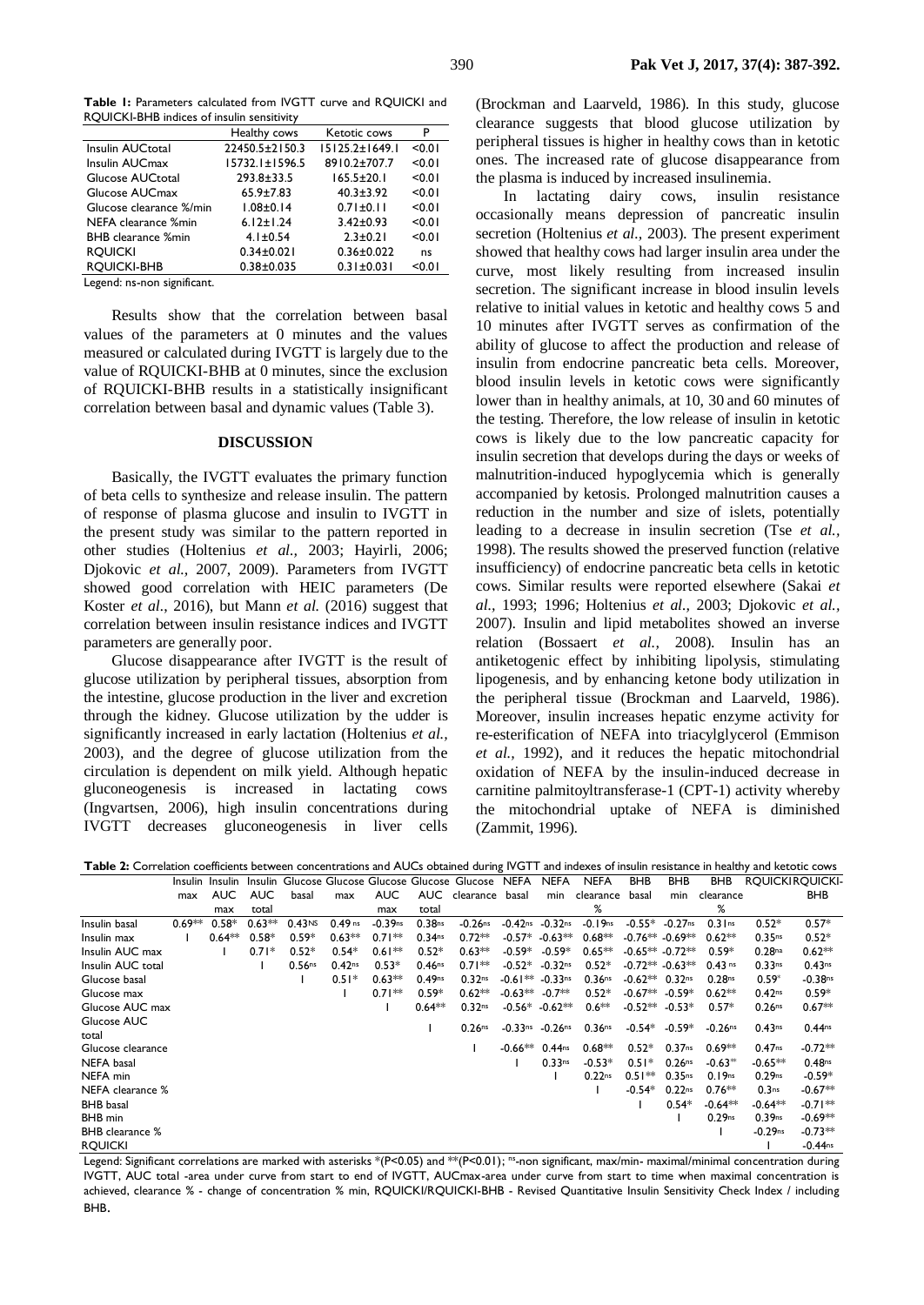**Table 1:** Parameters calculated from IVGTT curve and RQUICKI and RQUICKI-BHB indices of insulin sensitivity

|                           | Healthy cows         | Ketotic cows         | P      |
|---------------------------|----------------------|----------------------|--------|
| Insulin AUCtotal          | 22450.5±2150.3       | $15125.2 \pm 1649.1$ | < 0.01 |
| Insulin AUCmax            | $15732.1 \pm 1596.5$ | 8910.2±707.7         | < 0.01 |
| Glucose AUCtotal          | $293.8 \pm 33.5$     | $165.5 \pm 20.1$     | < 0.01 |
| Glucose AUCmax            | $65.9 \pm 7.83$      | $40.3 \pm 3.92$      | < 0.01 |
| Glucose clearance %/min   | $1.08 \pm 0.14$      | $0.71 \pm 0.11$      | < 0.01 |
| NEFA clearance %min       | $6.12 \pm 1.24$      | $3.42 \pm 0.93$      | < 0.01 |
| <b>BHB</b> clearance %min | $4.1 \pm 0.54$       | $2.3 \pm 0.21$       | < 0.01 |
| <b>ROUICKI</b>            | $0.34 \pm 0.021$     | $0.36 \pm 0.022$     | ns     |
| <b>ROUICKI-BHB</b>        | $0.38 + 0.035$       | $0.31 \pm 0.031$     | < 0.01 |
| $\cdot$ $\sim$            |                      |                      |        |

Legend: ns-non significant.

Results show that the correlation between basal values of the parameters at 0 minutes and the values measured or calculated during IVGTT is largely due to the value of RQUICKI-BHB at 0 minutes, since the exclusion of RQUICKI-BHB results in a statistically insignificant correlation between basal and dynamic values (Table 3).

#### **DISCUSSION**

Basically, the IVGTT evaluates the primary function of beta cells to synthesize and release insulin. The pattern of response of plasma glucose and insulin to IVGTT in the present study was similar to the pattern reported in other studies (Holtenius *et al.,* 2003; Hayirli, 2006; Djokovic *et al.,* 2007, 2009). Parameters from IVGTT showed good correlation with HEIC parameters (De Koster *et al.*, 2016), but Mann *et al.* (2016) suggest that correlation between insulin resistance indices and IVGTT parameters are generally poor.

Glucose disappearance after IVGTT is the result of glucose utilization by peripheral tissues, absorption from the intestine, glucose production in the liver and excretion through the kidney. Glucose utilization by the udder is significantly increased in early lactation (Holtenius *et al.,* 2003), and the degree of glucose utilization from the circulation is dependent on milk yield. Although hepatic gluconeogenesis is increased in lactating cows (Ingvartsen, 2006), high insulin concentrations during IVGTT decreases gluconeogenesis in liver cells

(Brockman and Laarveld, 1986). In this study, glucose clearance suggests that blood glucose utilization by peripheral tissues is higher in healthy cows than in ketotic ones. The increased rate of glucose disappearance from the plasma is induced by increased insulinemia.

In lactating dairy cows, insulin resistance occasionally means depression of pancreatic insulin secretion (Holtenius *et al.,* 2003)*.* The present experiment showed that healthy cows had larger insulin area under the curve, most likely resulting from increased insulin secretion. The significant increase in blood insulin levels relative to initial values in ketotic and healthy cows 5 and 10 minutes after IVGTT serves as confirmation of the ability of glucose to affect the production and release of insulin from endocrine pancreatic beta cells. Moreover, blood insulin levels in ketotic cows were significantly lower than in healthy animals, at 10, 30 and 60 minutes of the testing. Therefore, the low release of insulin in ketotic cows is likely due to the low pancreatic capacity for insulin secretion that develops during the days or weeks of malnutrition-induced hypoglycemia which is generally accompanied by ketosis. Prolonged malnutrition causes a reduction in the number and size of islets, potentially leading to a decrease in insulin secretion (Tse *et al.,*  1998). The results showed the preserved function (relative insufficiency) of endocrine pancreatic beta cells in ketotic cows. Similar results were reported elsewhere (Sakai *et al.,* 1993; 1996; Holtenius *et al.,* 2003; Djokovic *et al.,* 2007). Insulin and lipid metabolites showed an inverse relation (Bossaert *et al.,* 2008). Insulin has an antiketogenic effect by inhibiting lipolysis, stimulating lipogenesis, and by enhancing ketone body utilization in the peripheral tissue (Brockman and Laarveld, 1986). Moreover, insulin increases hepatic enzyme activity for re-esterification of NEFA into triacylglycerol (Emmison *et al.,* 1992), and it reduces the hepatic mitochondrial oxidation of NEFA by the insulin-induced decrease in carnitine palmitoyltransferase-1 (CPT-1) activity whereby the mitochondrial uptake of NEFA is diminished (Zammit, 1996).

**Table 2:** Correlation coefficients between concentrations and AUCs obtained during IVGTT and indexes of insulin resistance in healthy and ketotic cows

|                        | Insulin  | Insulin    |            |                    |                    |            | Insulin Glucose Glucose Glucose Glucose Glucose NEFA |                    |            | <b>NEFA</b>           | <b>NEFA</b>        | <b>BHB</b>          | BHB                 | BHB                   | <b>ROUICKIROUICKI-</b> |                    |
|------------------------|----------|------------|------------|--------------------|--------------------|------------|------------------------------------------------------|--------------------|------------|-----------------------|--------------------|---------------------|---------------------|-----------------------|------------------------|--------------------|
|                        | max      | <b>AUC</b> | <b>AUC</b> | basal              | max                | <b>AUC</b> | AUC                                                  | clearance          | basal      | min                   | clearance          | basal               | min                 | clearance             |                        | <b>BHB</b>         |
|                        |          | max        | total      |                    |                    | max        | total                                                |                    |            |                       | %                  |                     |                     | %                     |                        |                    |
| Insulin basal          | $0.69**$ | $0.58*$    | $0.63**$   | 0.43Ns             | $0.49$ ns          | $-0.39$ ns | 0.38 <sub>ns</sub>                                   | $-0.26$ ns         | $-0.42$ ns | $-0.32$ ns            | $-0.19ns$          | $-0.55*$            | $-0.27$ ns          | $0.3$ Ins             | $0.52*$                | $0.57*$            |
| Insulin max            |          | $0.64**$   | $0.58*$    | $0.59*$            | $0.63**$           | $0.71**$   | 0.34 <sub>ns</sub>                                   | $0.72**$           | $-0.57*$   | $-0.63**$             | $0.68**$           | $-0.76**$ $-0.69**$ |                     | $0.62**$              | 0.35 <sub>ns</sub>     | $0.52*$            |
| Insulin AUC max        |          |            | $0.71*$    | $0.52*$            | $0.54*$            | $0.61**$   | $0.52*$                                              | $0.63**$           | $-0.59*$   | $-0.59*$              | $0.65**$           |                     | $-0.65**$ $-0.72**$ | $0.59*$               | 0.28 <sub>na</sub>     | $0.62**$           |
| Insulin AUC total      |          |            |            | 0.56 <sub>ns</sub> | 0.42 <sub>ns</sub> | $0.53*$    | 0.46 <sub>ns</sub>                                   | $0.71**$           | $-0.52*$   | $-0.32$ ns            | $0.52*$            |                     | $-0.72**$ $-0.63**$ | $0.43$ ns             | 0.33ns                 | 0.43ns             |
| Glucose basal          |          |            |            |                    | $0.51*$            | $0.63**$   | 0.49ns                                               | 0.32 <sub>ns</sub> | -0.61**    | $-0.33$ <sup>ns</sup> | 0.36 <sup>ns</sup> | $-0.62**$           | 0.32 <sub>ns</sub>  | 0.28 <sub>ns</sub>    | $0.59*$                | $-0.38ns$          |
| Glucose max            |          |            |            |                    |                    | $0.71**$   | $0.59*$                                              | $0.62**$           | $-0.63**$  | $-0.7**$              | $0.52*$            | $-0.67**$           | $-0.59*$            | $0.62**$              | 0.42ns                 | $0.59*$            |
| Glucose AUC max        |          |            |            |                    |                    |            | $0.64**$                                             | 0.32 <sub>ns</sub> |            | $-0.56* -0.62**$      | $0.6**$            | $-0.52**$           | $-0.53*$            | $0.57*$               | 0.26 <sub>ns</sub>     | $0.67**$           |
| Glucose AUC            |          |            |            |                    |                    |            |                                                      | 0.26 <sub>ns</sub> |            | $-0.33$ ns $-0.26$ ns | 0.36 <sub>ns</sub> | $-0.54*$            | $-0.59*$            | $-0.26$ <sup>ns</sup> | 0.43ns                 | 0.44 <sub>ns</sub> |
| total                  |          |            |            |                    |                    |            |                                                      |                    |            |                       |                    |                     |                     |                       |                        |                    |
| Glucose clearance      |          |            |            |                    |                    |            |                                                      |                    | $-0.66**$  | 0.44 <sub>ns</sub>    | $0.68**$           | $0.52*$             | 0.37 <sub>ns</sub>  | $0.69**$              | 0.47ns                 | $-0.72**$          |
| <b>NEFA</b> basal      |          |            |            |                    |                    |            |                                                      |                    |            | 0.33ns                | $-0.53*$           | $0.51*$             | 0.26 <sub>ns</sub>  | $-0.63**$             | $-0.65**$              | 0.48 <sub>ns</sub> |
| NEFA min               |          |            |            |                    |                    |            |                                                      |                    |            |                       | 0.22ns             | $0.51**$            | 0.35 <sub>ns</sub>  | 0.19ns                | 0.29 <sub>ns</sub>     | $-0.59*$           |
| NEFA clearance %       |          |            |            |                    |                    |            |                                                      |                    |            |                       |                    | $-0.54*$            | 0.22 <sub>ns</sub>  | $0.76**$              | 0.3 <sub>ns</sub>      | $-0.67**$          |
| <b>BHB</b> basal       |          |            |            |                    |                    |            |                                                      |                    |            |                       |                    |                     | $0.54*$             | $-0.64**$             | $-0.64**$              | $-0.71**$          |
| <b>BHB</b> min         |          |            |            |                    |                    |            |                                                      |                    |            |                       |                    |                     |                     | 0.29 <sub>ns</sub>    | 0.39ns                 | $-0.69**$          |
| <b>BHB</b> clearance % |          |            |            |                    |                    |            |                                                      |                    |            |                       |                    |                     |                     |                       | $-0.29ns$              | $-0.73**$          |
| <b>ROUICKI</b>         |          |            |            |                    |                    |            |                                                      |                    |            |                       |                    |                     |                     |                       |                        | $-0.44$ ns         |

Legend: Significant correlations are marked with asterisks \*(P<0.05) and \*\*(P<0.01); <sup>ns</sup>-non significant, max/min- maximal/minimal concentration during IVGTT, AUC total -area under curve from start to end of IVGTT, AUCmax-area under curve from start to time when maximal concentration is achieved, clearance % - change of concentration % min, RQUICKI/RQUICKI-BHB - Revised Quantitative Insulin Sensitivity Check Index / including BHB.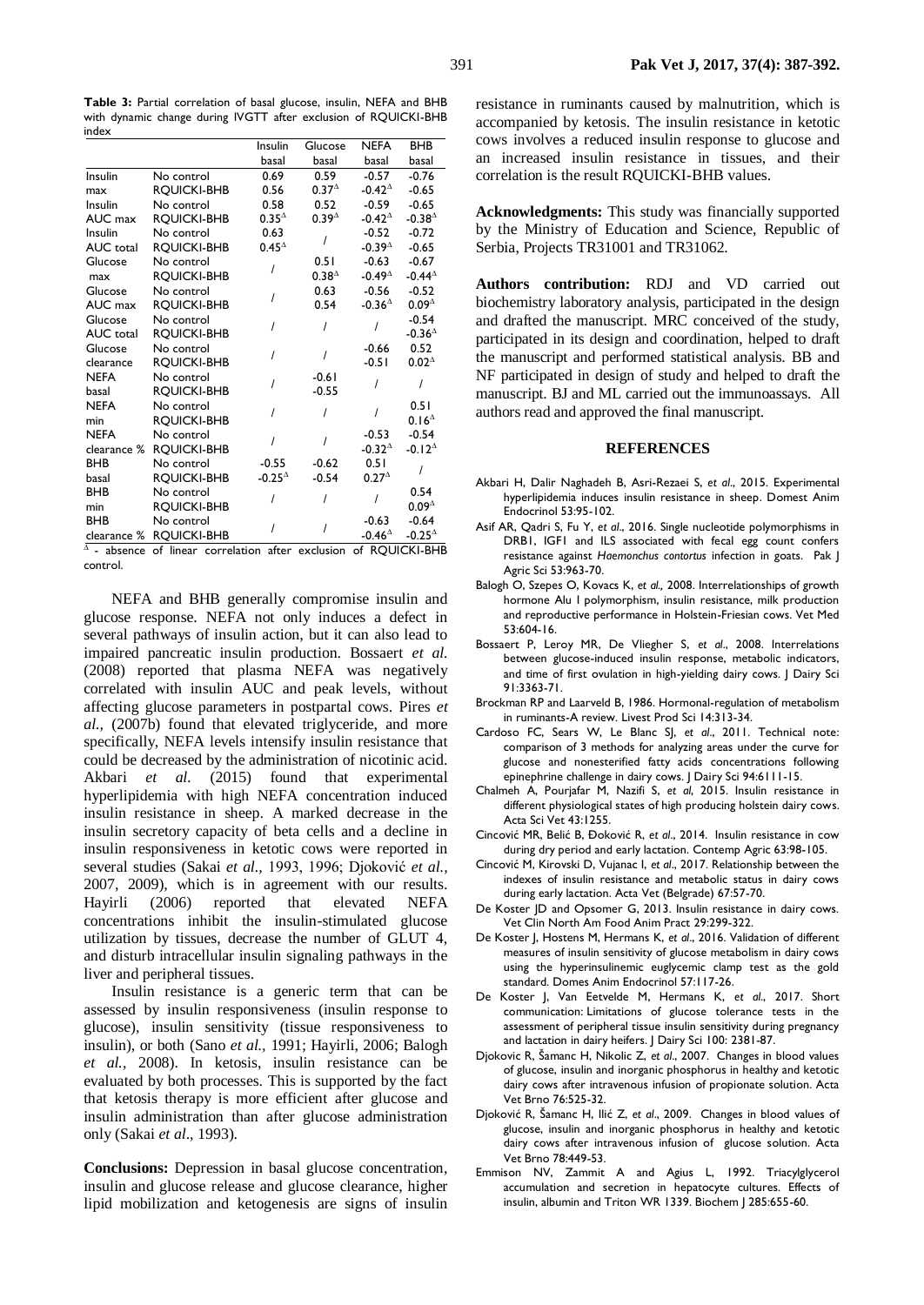**Table 3:** Partial correlation of basal glucose, insulin, NEFA and BHB with dynamic change during IVGTT after exclusion of RQUICKI-BHB index

|                  |                    | Insulin          | Glucose           | NEFA             | <b>BHB</b>        |  |
|------------------|--------------------|------------------|-------------------|------------------|-------------------|--|
|                  |                    | basal            | basal             | basal            | basal             |  |
| Insulin          | No control         | 0.69             | 0.59              | $-0.57$          | $-0.76$           |  |
| max              | <b>ROUICKI-BHB</b> | 0.56             | 0.37 <sup>4</sup> | $-0.42^{\Delta}$ | $-0.65$           |  |
| Insulin          | No control         | 0.58             | 0.52              | $-0.59$          | $-0.65$           |  |
| AUC max          | <b>ROUICKI-BHB</b> | $0.35^{\Delta}$  | 0.39 <sup>4</sup> | $-0.42^{\Delta}$ | $-0.38^{\Delta}$  |  |
| Insulin          | No control         | 0.63             |                   | $-0.52$          | $-0.72$           |  |
| <b>AUC</b> total | <b>ROUICKI-BHB</b> | $0.45^{\Delta}$  |                   | $-0.394$         | $-0.65$           |  |
| Glucose          | No control         |                  | 0.51              | $-0.63$          | $-0.67$           |  |
| max              | <b>ROUICKI-BHB</b> |                  | $0.38^{4}$        | -0.49 $^{\circ}$ | $-0.44^{\Delta}$  |  |
| Glucose          | No control         |                  | 0.63              | $-0.56$          | $-0.52$           |  |
| AUC max          | <b>ROUICKI-BHB</b> |                  | 0.54              | $-0.364$         | $0.09^{\Delta}$   |  |
| Glucose          | No control         |                  |                   |                  | $-0.54$           |  |
| <b>AUC</b> total | <b>ROUICKI-BHB</b> |                  |                   |                  | $-0.364$          |  |
| Glucose          | No control         |                  |                   | $-0.66$          | 0.52              |  |
| clearance        | <b>ROUICKI-BHB</b> |                  |                   | $-0.51$          | $0.02^{\Delta}$   |  |
| <b>NEFA</b>      | No control         |                  | $-0.61$           |                  |                   |  |
| basal            | <b>ROUICKI-BHB</b> |                  | $-0.55$           |                  |                   |  |
| <b>NEFA</b>      | No control         |                  |                   |                  | 0.51              |  |
| min              | <b>ROUICKI-BHB</b> |                  |                   |                  | 0.16 <sup>4</sup> |  |
| <b>NEFA</b>      | No control         |                  |                   | $-0.53$          | $-0.54$           |  |
| clearance %      | <b>ROUICKI-BHB</b> |                  |                   | $-0.32^{\Delta}$ | $-0.12^{\Delta}$  |  |
| <b>BHB</b>       | No control         | $-0.55$          | $-0.62$           | 0.51             |                   |  |
| basal            | <b>ROUICKI-BHB</b> | $-0.25^{\Delta}$ | $-0.54$           | $0.27^{\Delta}$  |                   |  |
| <b>BHB</b>       | No control         |                  |                   |                  | 0.54              |  |
| min              | <b>ROUICKI-BHB</b> |                  |                   |                  | $0.09^{\Delta}$   |  |
| <b>BHB</b>       | No control         |                  |                   | $-0.63$          | $-0.64$           |  |
| clearance %      | <b>RQUICKI-BHB</b> |                  |                   | $-0.464$         | $-0.25^{\Delta}$  |  |

 $^{\Delta}$  - absence of linear correlation after exclusion of RQUICKI-BHB control.

NEFA and BHB generally compromise insulin and glucose response. NEFA not only induces a defect in several pathways of insulin action, but it can also lead to impaired pancreatic insulin production. Bossaert *et al.*  (2008) reported that plasma NEFA was negatively correlated with insulin AUC and peak levels, without affecting glucose parameters in postpartal cows. Pires *et al.,* (2007b) found that elevated triglyceride, and more specifically, NEFA levels intensify insulin resistance that could be decreased by the administration of nicotinic acid. Akbari *et al.* (2015) found that experimental hyperlipidemia with high NEFA concentration induced insulin resistance in sheep. A marked decrease in the insulin secretory capacity of beta cells and a decline in insulin responsiveness in ketotic cows were reported in several studies (Sakai *et al.,* 1993, 1996; Djoković *et al.,* 2007, 2009)*,* which is in agreement with our results. Hayirli (2006) reported that elevated NEFA concentrations inhibit the insulin-stimulated glucose utilization by tissues, decrease the number of GLUT 4, and disturb intracellular insulin signaling pathways in the liver and peripheral tissues.

Insulin resistance is a generic term that can be assessed by insulin responsiveness (insulin response to glucose), insulin sensitivity (tissue responsiveness to insulin), or both (Sano *et al.,* 1991; Hayirli, 2006; Balogh *et al.,* 2008). In ketosis, insulin resistance can be evaluated by both processes. This is supported by the fact that ketosis therapy is more efficient after glucose and insulin administration than after glucose administration only (Sakai *et al*., 1993).

**Conclusions:** Depression in basal glucose concentration, insulin and glucose release and glucose clearance, higher lipid mobilization and ketogenesis are signs of insulin

resistance in ruminants caused by malnutrition, which is accompanied by ketosis. The insulin resistance in ketotic cows involves a reduced insulin response to glucose and an increased insulin resistance in tissues, and their correlation is the result RQUICKI-BHB values.

**Acknowledgments:** This study was financially supported by the Ministry of Education and Science, Republic of Serbia, Projects TR31001 and TR31062.

**Authors contribution:** RDJ and VD carried out biochemistry laboratory analysis, participated in the design and drafted the manuscript. MRC conceived of the study, participated in its design and coordination, helped to draft the manuscript and performed statistical analysis. BB and NF participated in design of study and helped to draft the manuscript. BJ and ML carried out the immunoassays. All authors read and approved the final manuscript.

#### **REFERENCES**

- Akbari H, Dalir Naghadeh B, Asri-Rezaei S, *et al*., 2015. Experimental hyperlipidemia induces insulin resistance in sheep. Domest Anim Endocrinol 53:95-102.
- Asif AR, Qadri S, Fu Y, *et al*., 2016. Single nucleotide polymorphisms in DRB1, IGF1 and ILS associated with fecal egg count confers resistance against *Haemonchus contortus* infection in goats. [Pak J](javascript:;)  [Agric Sci](javascript:;) 53:963-70.
- Balogh O, Szepes O, Kovacs K, *et al.,* 2008. Interrelationships of growth hormone Alu I polymorphism, insulin resistance, milk production and reproductive performance in Holstein-Friesian cows. Vet Med 53:604-16.
- Bossaert P, Leroy MR, De Vliegher S, *et al*., 2008. Interrelations between glucose-induced insulin response, metabolic indicators, and time of first ovulation in high-yielding dairy cows. J Dairy Sci 91:3363-71.
- Brockman RP and Laarveld B, 1986. Hormonal-regulation of metabolism in ruminants-A review. Livest Prod Sci 14:313-34.
- Cardoso FC, Sears W, Le Blanc SJ, *et al*., 2011. Technical note: comparison of 3 methods for analyzing areas under the curve for glucose and nonesterified fatty acids concentrations following epinephrine challenge in dairy cows. J Dairy Sci 94:6111-15.
- Chalmeh A, Pourjafar M, Nazifi S, *et al*, 2015. Insulin resistance in different physiological states of high producing holstein dairy cows. Acta Sci Vet 43:1255.
- Cincović MR, Belić B, Đoković R, *et al*., 2014. Insulin resistance in cow during dry period and early lactation. Contemp Agric 63:98-105.
- Cincović M, Kirovski D, Vujanac I, *et al*., 2017. Relationship between the indexes of insulin resistance and metabolic status in dairy cows during early lactation. Acta Vet (Belgrade) 67:57-70.
- De Koster JD and Opsomer G, 2013. Insulin resistance in dairy cows. [Vet Clin North Am Food Anim Pract](http://www.ncbi.nlm.nih.gov/pubmed/23809893) 29:299-322.
- De Koster J, Hostens M, Hermans K, *et al*., 2016. Validation of different measures of insulin sensitivity of glucose metabolism in dairy cows using the hyperinsulinemic euglycemic clamp test as the gold standard. Domes Anim Endocrinol 57:117-26.
- De Koster J, Van Eetvelde M, Hermans K, *et al*., 2017. Short communication: Limitations of glucose tolerance tests in the assessment of peripheral tissue insulin sensitivity during pregnancy and lactation in dairy heifers. J Dairy Sci 100: 2381-87.
- Djokovic R, Šamanc H, Nikolic Z, *et al*., 2007. Changes in blood values of glucose, insulin and inorganic phosphorus in healthy and ketotic dairy cows after intravenous infusion of propionate solution. Acta Vet Brno 76:525-32.
- Djoković R, Šamanc H, Ilić Z, *et al*., 2009. Changes in blood values of glucose, insulin and inorganic phosphorus in healthy and ketotic dairy cows after intravenous infusion of glucose solution. Acta Vet Brno 78:449-53.
- Emmison NV, Zammit A and Agius L, 1992. Triacylglycerol accumulation and secretion in hepatocyte cultures. Effects of insulin, albumin and Triton WR 1339. Biochem J 285:655-60.